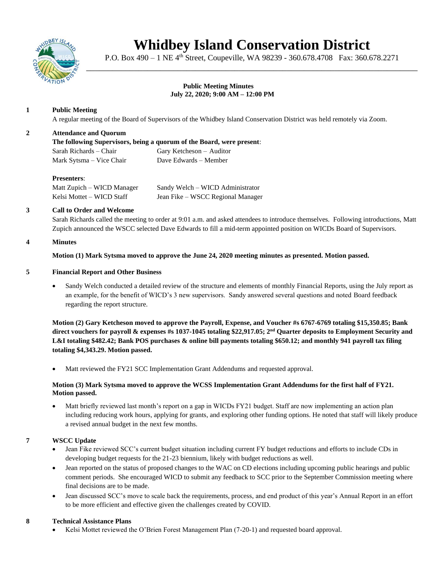

# **Whidbey Island Conservation District**

P.O. Box 490 – 1 NE 4<sup>th</sup> Street, Coupeville, WA 98239 - 360.678.4708 Fax: 360.678.2271 \_\_\_\_\_\_\_\_\_\_\_\_\_\_\_\_\_\_\_\_\_\_\_\_\_\_\_\_\_\_\_\_\_\_\_\_\_\_\_\_\_\_\_\_\_\_\_\_\_\_\_\_\_\_\_\_\_\_\_\_\_\_\_\_\_\_\_\_\_\_\_\_\_\_\_\_

#### **Public Meeting Minutes July 22, 2020; 9:00 AM – 12:00 PM**

# **1 Public Meeting**

A regular meeting of the Board of Supervisors of the Whidbey Island Conservation District was held remotely via Zoom.

# **2 Attendance and Quorum**

| The following Supervisors, being a quorum of the Board, were present: |                          |
|-----------------------------------------------------------------------|--------------------------|
| Sarah Richards – Chair                                                | Gary Ketcheson – Auditor |
| Mark Sytsma – Vice Chair                                              | Dave Edwards – Member    |

## **Presenters**:

Matt Zupich – WICD Manager Sandy Welch – WICD Administrator Kelsi Mottet – WICD Staff Jean Fike – WSCC Regional Manager

# **3 Call to Order and Welcome**

Sarah Richards called the meeting to order at 9:01 a.m. and asked attendees to introduce themselves. Following introductions, Matt Zupich announced the WSCC selected Dave Edwards to fill a mid-term appointed position on WICDs Board of Supervisors.

## **4 Minutes**

## **Motion (1) Mark Sytsma moved to approve the June 24, 2020 meeting minutes as presented. Motion passed.**

# **5 Financial Report and Other Business**

• Sandy Welch conducted a detailed review of the structure and elements of monthly Financial Reports, using the July report as an example, for the benefit of WICD's 3 new supervisors. Sandy answered several questions and noted Board feedback regarding the report structure.

**Motion (2) Gary Ketcheson moved to approve the Payroll, Expense, and Voucher #s 6767-6769 totaling \$15,350.85; Bank direct vouchers for payroll & expenses #s 1037-1045 totaling \$22,917.05; 2 nd Quarter deposits to Employment Security and L&I totaling \$482.42; Bank POS purchases & online bill payments totaling \$650.12; and monthly 941 payroll tax filing totaling \$4,343.29. Motion passed.** 

Matt reviewed the FY21 SCC Implementation Grant Addendums and requested approval.

## **Motion (3) Mark Sytsma moved to approve the WCSS Implementation Grant Addendums for the first half of FY21. Motion passed.**

• Matt briefly reviewed last month's report on a gap in WICDs FY21 budget. Staff are now implementing an action plan including reducing work hours, applying for grants, and exploring other funding options. He noted that staff will likely produce a revised annual budget in the next few months.

# **7 WSCC Update**

- Jean Fike reviewed SCC's current budget situation including current FY budget reductions and efforts to include CDs in developing budget requests for the 21-23 biennium, likely with budget reductions as well.
- Jean reported on the status of proposed changes to the WAC on CD elections including upcoming public hearings and public comment periods. She encouraged WICD to submit any feedback to SCC prior to the September Commission meeting where final decisions are to be made.
- Jean discussed SCC's move to scale back the requirements, process, and end product of this year's Annual Report in an effort to be more efficient and effective given the challenges created by COVID.

## **8 Technical Assistance Plans**

• Kelsi Mottet reviewed the O'Brien Forest Management Plan (7-20-1) and requested board approval.